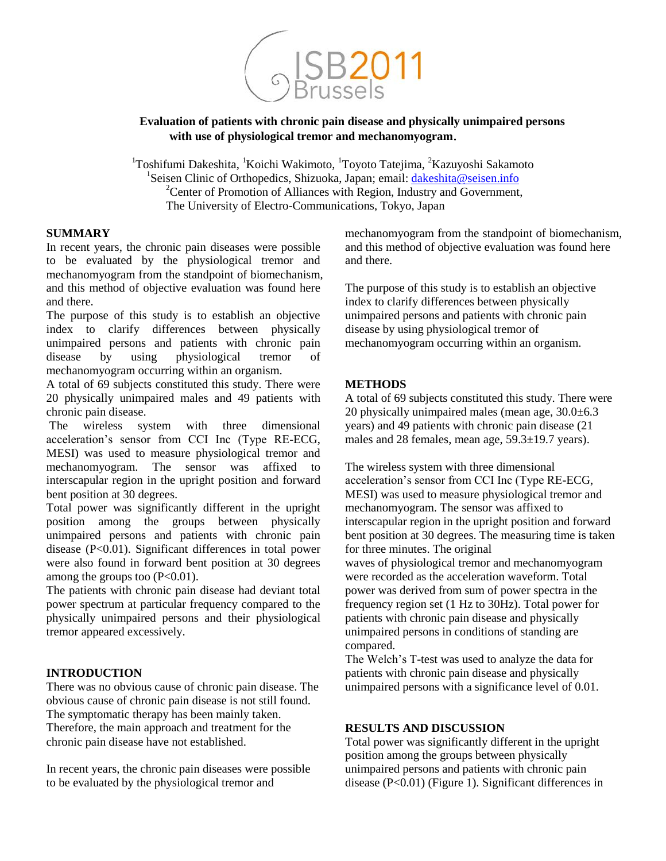

**Evaluation of patients with chronic pain disease and physically unimpaired persons with use of physiological tremor and mechanomyogram**.

<sup>1</sup>Toshifumi Dakeshita, <sup>1</sup>Koichi Wakimoto, <sup>1</sup>Toyoto Tatejima, <sup>2</sup>Kazuyoshi Sakamoto <sup>1</sup>Seisen Clinic of Orthopedics, Shizuoka, Japan; email: *dakeshita@seisen.info* <sup>2</sup>Center of Promotion of Alliances with Region, Industry and Government, The University of Electro-Communications, Tokyo, Japan

# **SUMMARY**

In recent years, the chronic pain diseases were possible to be evaluated by the physiological tremor and mechanomyogram from the standpoint of biomechanism, and this method of objective evaluation was found here and there.

The purpose of this study is to establish an objective index to clarify differences between physically unimpaired persons and patients with chronic pain disease by using physiological tremor of mechanomyogram occurring within an organism.

A total of 69 subjects constituted this study. There were 20 physically unimpaired males and 49 patients with chronic pain disease.

The wireless system with three dimensional acceleration's sensor from CCI Inc (Type RE-ECG, MESI) was used to measure physiological tremor and mechanomyogram. The sensor was affixed to interscapular region in the upright position and forward bent position at 30 degrees.

Total power was significantly different in the upright position among the groups between physically unimpaired persons and patients with chronic pain disease (P<0.01). Significant differences in total power were also found in forward bent position at 30 degrees among the groups too  $(P<0.01)$ .

The patients with chronic pain disease had deviant total power spectrum at particular frequency compared to the physically unimpaired persons and their physiological tremor appeared excessively.

#### **INTRODUCTION**

There was no obvious cause of chronic pain disease. The obvious cause of chronic pain disease is not still found. The symptomatic therapy has been mainly taken. Therefore, the main approach and treatment for the chronic pain disease have not established.

In recent years, the chronic pain diseases were possible to be evaluated by the physiological tremor and

mechanomyogram from the standpoint of biomechanism, and this method of objective evaluation was found here and there.

The purpose of this study is to establish an objective index to clarify differences between physically unimpaired persons and patients with chronic pain disease by using physiological tremor of mechanomyogram occurring within an organism.

## **METHODS**

A total of 69 subjects constituted this study. There were 20 physically unimpaired males (mean age, 30.0±6.3 years) and 49 patients with chronic pain disease (21 males and 28 females, mean age, 59.3±19.7 years).

The wireless system with three dimensional acceleration's sensor from CCI Inc (Type RE-ECG, MESI) was used to measure physiological tremor and mechanomyogram. The sensor was affixed to interscapular region in the upright position and forward bent position at 30 degrees. The measuring time is taken for three minutes. The original waves of physiological tremor and mechanomyogram were recorded as the acceleration waveform. Total power was derived from sum of power spectra in the frequency region set (1 Hz to 30Hz). Total power for patients with chronic pain disease and physically unimpaired persons in conditions of standing are compared.

The Welch's T-test was used to analyze the data for patients with chronic pain disease and physically unimpaired persons with a significance level of 0.01.

#### **RESULTS AND DISCUSSION**

Total power was significantly different in the upright position among the groups between physically unimpaired persons and patients with chronic pain disease (P<0.01) (Figure 1). Significant differences in